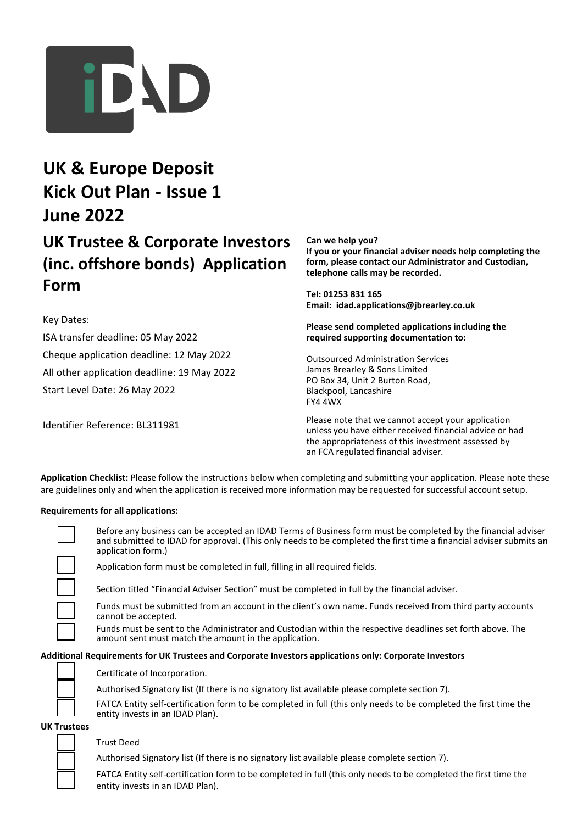

# **UK & Europe Deposit Kick Out Plan - Issue 1 June 2022**

## **UK Trustee & Corporate Investors (inc. offshore bonds) Application Form**

Key Dates:

ISA transfer deadline: 05 May 2022 Cheque application deadline: 12 May 2022 All other application deadline: 19 May 2022 Start Level Date: 26 May 2022

Identifier Reference: BL311981

**Can we help you? If you or your financial adviser needs help completing the form, please contact our Administrator and Custodian, telephone calls may be recorded.**

**Tel: 01253 831 165 Email: idad.applications@jbrearley.co.uk**

**Please send completed applications including the required supporting documentation to:**

Outsourced Administration Services James Brearley & Sons Limited PO Box 34, Unit 2 Burton Road, Blackpool, Lancashire FY4 4WX

Please note that we cannot accept your application unless you have either received financial advice or had the appropriateness of this investment assessed by an FCA regulated financial adviser.

**Application Checklist:** Please follow the instructions below when completing and submitting your application. Please note these are guidelines only and when the application is received more information may be requested for successful account setup.

#### **Requirements for all applications:**

Before any business can be accepted an IDAD Terms of Business form must be completed by the financial adviser and submitted to IDAD for approval. (This only needs to be completed the first time a financial adviser submits an application form.)

Application form must be completed in full, filling in all required fields.

Section titled "Financial Adviser Section" must be completed in full by the financial adviser.

Funds must be submitted from an account in the client's own name. Funds received from third party accounts cannot be accepted.

Funds must be sent to the Administrator and Custodian within the respective deadlines set forth above. The amount sent must match the amount in the application.

#### **Additional Requirements for UK Trustees and Corporate Investors applications only: Corporate Investors**



Certificate of Incorporation.

Authorised Signatory list (If there is no signatory list available please complete section 7).

FATCA Entity self-certification form to be completed in full (this only needs to be completed the first time the entity invests in an IDAD Plan).

**UK Trustees**

#### Trust Deed

Authorised Signatory list (If there is no signatory list available please complete section 7).

FATCA Entity self-certification form to be completed in full (this only needs to be completed the first time the entity invests in an IDAD Plan).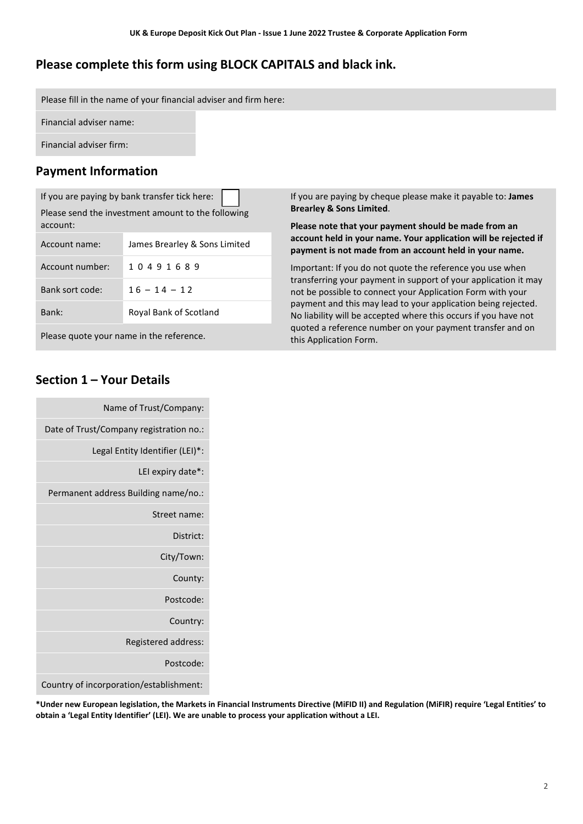### **Please complete this form using BLOCK CAPITALS and black ink.**

Please fill in the name of your financial adviser and firm here:

Financial adviser name:

Financial adviser firm:

### **Payment Information**

If you are paying by bank transfer tick here: Please send the investment amount to the following account:

| Account name:   | James Brearley & Sons Limited |
|-----------------|-------------------------------|
| Account number: | 10491689                      |
| Bank sort code: | $16 - 14 - 12$                |
| Bank:           | Royal Bank of Scotland        |

Please quote your name in the reference.

### **Section 1 – Your Details**

| Name of Trust/Company:                  |
|-----------------------------------------|
| Date of Trust/Company registration no.: |
| Legal Entity Identifier (LEI)*:         |
| LEI expiry date <sup>*</sup> :          |
| Permanent address Building name/no.:    |
| Street name:                            |
| District:                               |
| City/Town:                              |
| County:                                 |
| Postcode:                               |
| Country:                                |
| Registered address:                     |
| Postcode:                               |
|                                         |

If you are paying by cheque please make it payable to: **James Brearley & Sons Limited**.

**Please note that your payment should be made from an account held in your name. Your application will be rejected if payment is not made from an account held in your name.**

Important: If you do not quote the reference you use when transferring your payment in support of your application it may not be possible to connect your Application Form with your payment and this may lead to your application being rejected. No liability will be accepted where this occurs if you have not quoted a reference number on your payment transfer and on this Application Form.

Country of incorporation/establishment:

**\*Under new European legislation, the Markets in Financial Instruments Directive (MiFID II) and Regulation (MiFIR) require 'Legal Entities' to obtain a 'Legal Entity Identifier' (LEI). We are unable to process your application without a LEI.**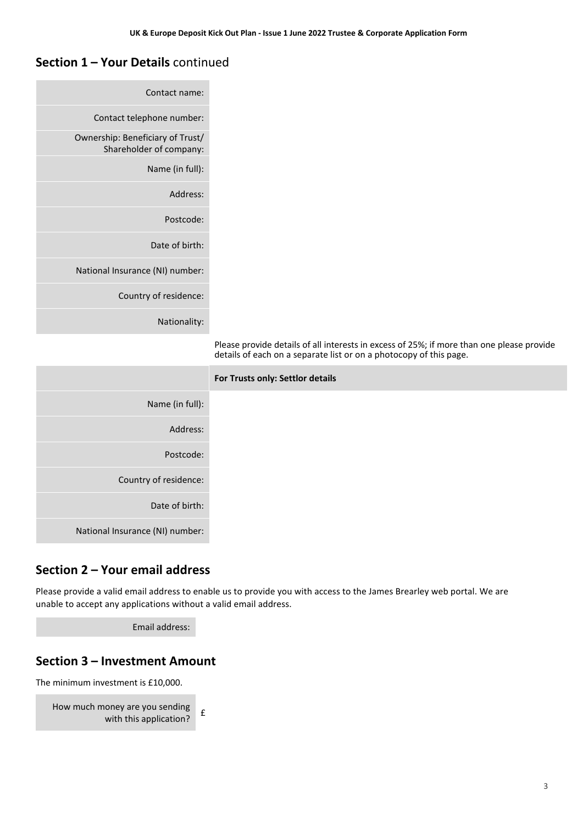#### **Section 1 – Your Details** continued

| Contact name:                                               |                                                                                                                                                                 |
|-------------------------------------------------------------|-----------------------------------------------------------------------------------------------------------------------------------------------------------------|
| Contact telephone number:                                   |                                                                                                                                                                 |
| Ownership: Beneficiary of Trust/<br>Shareholder of company: |                                                                                                                                                                 |
| Name (in full):                                             |                                                                                                                                                                 |
| Address:                                                    |                                                                                                                                                                 |
| Postcode:                                                   |                                                                                                                                                                 |
| Date of birth:                                              |                                                                                                                                                                 |
| National Insurance (NI) number:                             |                                                                                                                                                                 |
| Country of residence:                                       |                                                                                                                                                                 |
| Nationality:                                                |                                                                                                                                                                 |
|                                                             | Please provide details of all interests in excess of 25%; if more than one please provide<br>details of each on a separate list or on a photocopy of this page. |
|                                                             | For Trusts only: Settlor details                                                                                                                                |
| Name (in full):                                             |                                                                                                                                                                 |
| Address:                                                    |                                                                                                                                                                 |
| Postcode:                                                   |                                                                                                                                                                 |
| Country of residence:                                       |                                                                                                                                                                 |
|                                                             |                                                                                                                                                                 |
| Date of birth:                                              |                                                                                                                                                                 |

#### **Section 2 – Your email address**

Please provide a valid email address to enable us to provide you with access to the James Brearley web portal. We are unable to accept any applications without a valid email address.

Email address:

#### **Section 3 – Investment Amount**

The minimum investment is £10,000.

```
How much money are you sending 
    \frac{1}{2} with this application? \frac{1}{2}
```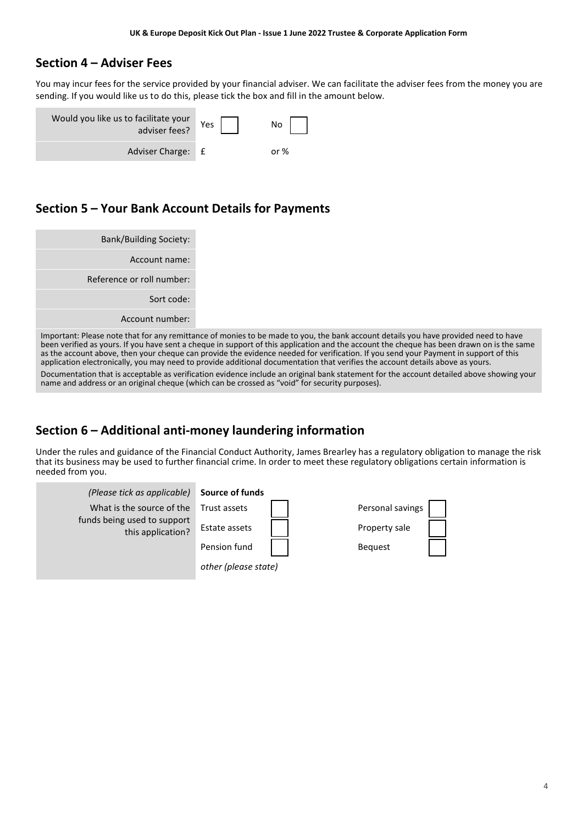#### **Section 4 – Adviser Fees**

You may incur fees for the service provided by your financial adviser. We can facilitate the adviser fees from the money you are sending. If you would like us to do this, please tick the box and fill in the amount below.

| Would you like us to facilitate your<br>adviser fees? | Yes | No  |
|-------------------------------------------------------|-----|-----|
| Adviser Charge: £                                     |     | nr% |

#### **Section 5 – Your Bank Account Details for Payments**

| <b>Bank/Building Society:</b> |
|-------------------------------|
| Account name:                 |
| Reference or roll number:     |
| Sort code:                    |
| Account number:               |
|                               |

Important: Please note that for any remittance of monies to be made to you, the bank account details you have provided need to have been verified as yours. If you have sent a cheque in support of this application and the account the cheque has been drawn on is the same as the account above, then your cheque can provide the evidence needed for verification. If you send your Payment in support of this application electronically, you may need to provide additional documentation that verifies the account details above as yours. Documentation that is acceptable as verification evidence include an original bank statement for the account detailed above showing your name and address or an original cheque (which can be crossed as "void" for security purposes).

### **Section 6 – Additional anti-money laundering information**

Under the rules and guidance of the Financial Conduct Authority, James Brearley has a regulatory obligation to manage the risk that its business may be used to further financial crime. In order to meet these regulatory obligations certain information is needed from you.

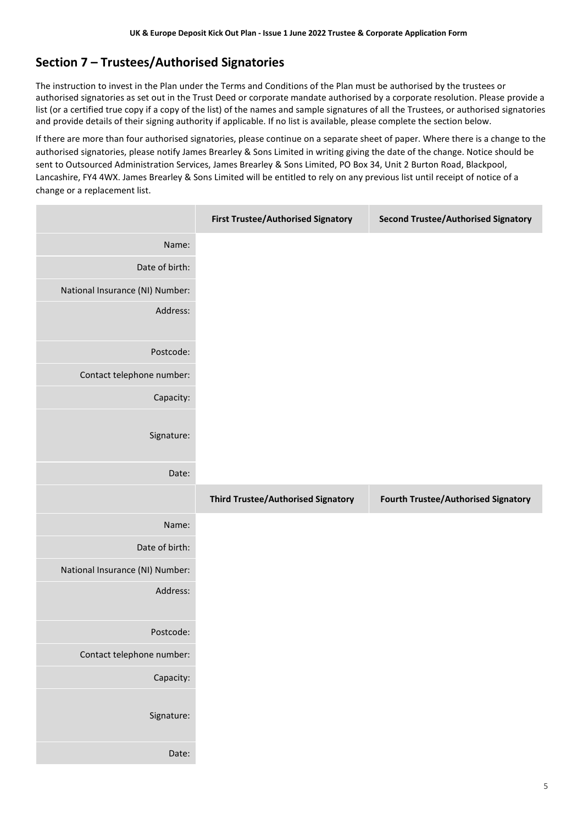## **Section 7 – Trustees/Authorised Signatories**

The instruction to invest in the Plan under the Terms and Conditions of the Plan must be authorised by the trustees or authorised signatories as set out in the Trust Deed or corporate mandate authorised by a corporate resolution. Please provide a list (or a certified true copy if a copy of the list) of the names and sample signatures of all the Trustees, or authorised signatories and provide details of their signing authority if applicable. If no list is available, please complete the section below.

If there are more than four authorised signatories, please continue on a separate sheet of paper. Where there is a change to the authorised signatories, please notify James Brearley & Sons Limited in writing giving the date of the change. Notice should be sent to Outsourced Administration Services, James Brearley & Sons Limited, PO Box 34, Unit 2 Burton Road, Blackpool, Lancashire, FY4 4WX. James Brearley & Sons Limited will be entitled to rely on any previous list until receipt of notice of a change or a replacement list.

|                                 | <b>First Trustee/Authorised Signatory</b> | <b>Second Trustee/Authorised Signatory</b> |
|---------------------------------|-------------------------------------------|--------------------------------------------|
| Name:                           |                                           |                                            |
| Date of birth:                  |                                           |                                            |
| National Insurance (NI) Number: |                                           |                                            |
| Address:                        |                                           |                                            |
| Postcode:                       |                                           |                                            |
| Contact telephone number:       |                                           |                                            |
| Capacity:                       |                                           |                                            |
| Signature:                      |                                           |                                            |
| Date:                           |                                           |                                            |
|                                 |                                           |                                            |
|                                 | <b>Third Trustee/Authorised Signatory</b> | <b>Fourth Trustee/Authorised Signatory</b> |
| Name:                           |                                           |                                            |
| Date of birth:                  |                                           |                                            |
| National Insurance (NI) Number: |                                           |                                            |
| Address:                        |                                           |                                            |
| Postcode:                       |                                           |                                            |
| Contact telephone number:       |                                           |                                            |
| Capacity:                       |                                           |                                            |
| Signature:                      |                                           |                                            |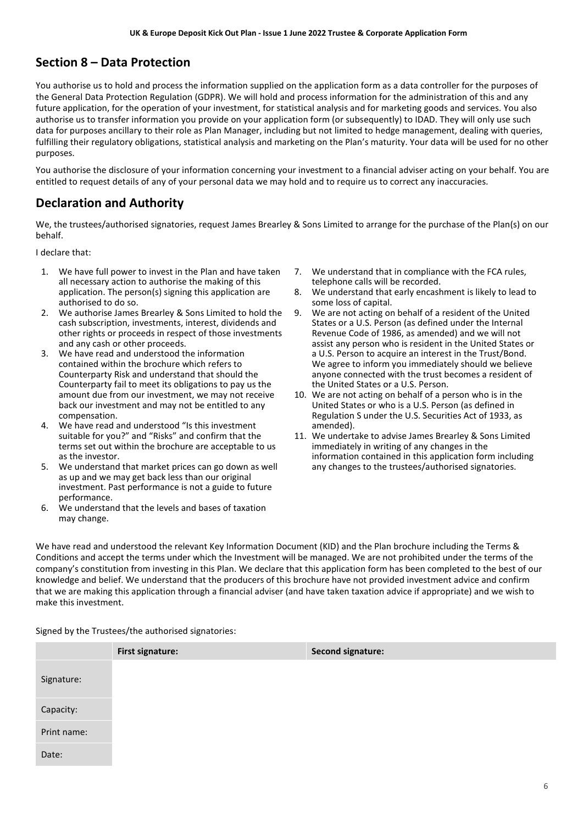### **Section 8 – Data Protection**

You authorise us to hold and process the information supplied on the application form as a data controller for the purposes of the General Data Protection Regulation (GDPR). We will hold and process information for the administration of this and any future application, for the operation of your investment, for statistical analysis and for marketing goods and services. You also authorise us to transfer information you provide on your application form (or subsequently) to IDAD. They will only use such data for purposes ancillary to their role as Plan Manager, including but not limited to hedge management, dealing with queries, fulfilling their regulatory obligations, statistical analysis and marketing on the Plan's maturity. Your data will be used for no other purposes.

You authorise the disclosure of your information concerning your investment to a financial adviser acting on your behalf. You are entitled to request details of any of your personal data we may hold and to require us to correct any inaccuracies.

#### **Declaration and Authority**

We, the trustees/authorised signatories, request James Brearley & Sons Limited to arrange for the purchase of the Plan(s) on our behalf.

I declare that:

- 1. We have full power to invest in the Plan and have taken all necessary action to authorise the making of this application. The person(s) signing this application are authorised to do so.
- 2. We authorise James Brearley & Sons Limited to hold the cash subscription, investments, interest, dividends and other rights or proceeds in respect of those investments and any cash or other proceeds.
- 3. We have read and understood the information contained within the brochure which refers to Counterparty Risk and understand that should the Counterparty fail to meet its obligations to pay us the amount due from our investment, we may not receive back our investment and may not be entitled to any compensation.
- 4. We have read and understood "Is this investment suitable for you?" and "Risks" and confirm that the terms set out within the brochure are acceptable to us as the investor.
- 5. We understand that market prices can go down as well as up and we may get back less than our original investment. Past performance is not a guide to future performance.
- 6. We understand that the levels and bases of taxation may change.
- 7. We understand that in compliance with the FCA rules, telephone calls will be recorded.
- 8. We understand that early encashment is likely to lead to some loss of capital.
- 9. We are not acting on behalf of a resident of the United States or a U.S. Person (as defined under the Internal Revenue Code of 1986, as amended) and we will not assist any person who is resident in the United States or a U.S. Person to acquire an interest in the Trust/Bond. We agree to inform you immediately should we believe anyone connected with the trust becomes a resident of the United States or a U.S. Person.
- 10. We are not acting on behalf of a person who is in the United States or who is a U.S. Person (as defined in Regulation S under the U.S. Securities Act of 1933, as amended).
- 11. We undertake to advise James Brearley & Sons Limited immediately in writing of any changes in the information contained in this application form including any changes to the trustees/authorised signatories.

We have read and understood the relevant Key Information Document (KID) and the Plan brochure including the Terms & Conditions and accept the terms under which the Investment will be managed. We are not prohibited under the terms of the company's constitution from investing in this Plan. We declare that this application form has been completed to the best of our knowledge and belief. We understand that the producers of this brochure have not provided investment advice and confirm that we are making this application through a financial adviser (and have taken taxation advice if appropriate) and we wish to make this investment.

Signed by the Trustees/the authorised signatories:

|             | <b>First signature:</b> | <b>Second signature:</b> |
|-------------|-------------------------|--------------------------|
| Signature:  |                         |                          |
| Capacity:   |                         |                          |
| Print name: |                         |                          |
| Date:       |                         |                          |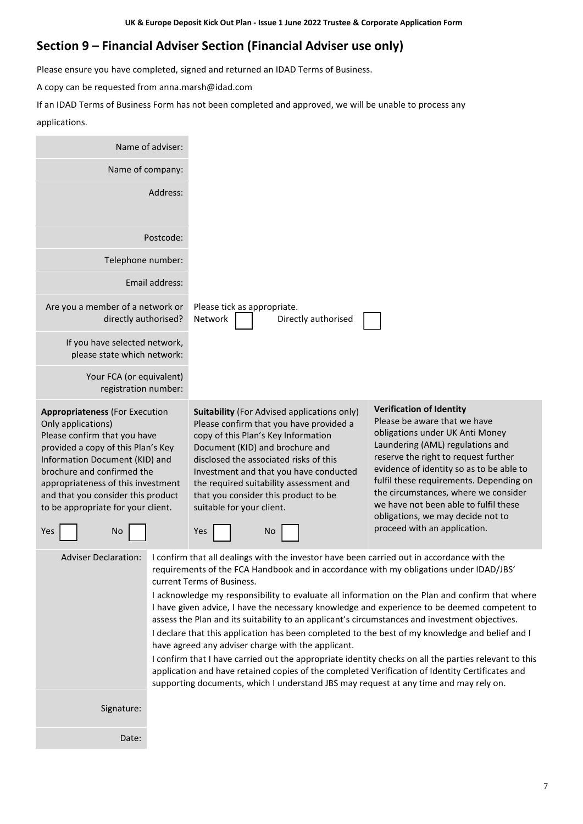## **Section 9 – Financial Adviser Section (Financial Adviser use only)**

Please ensure you have completed, signed and returned an IDAD Terms of Business.

A copy can be requested from anna.marsh@idad.com

If an IDAD Terms of Business Form has not been completed and approved, we will be unable to process any applications.

| Name of adviser:                                                                                                                                                                                                                                                                                                                 |                |                                                                                                                                                                                                                                                                                                                                                                                                                                                                                                                                                                                                                                                                                                                                                                                                                                                                                                                                                                                      |                                                                                                                                                                                                                                                                                                                                                                                                                             |
|----------------------------------------------------------------------------------------------------------------------------------------------------------------------------------------------------------------------------------------------------------------------------------------------------------------------------------|----------------|--------------------------------------------------------------------------------------------------------------------------------------------------------------------------------------------------------------------------------------------------------------------------------------------------------------------------------------------------------------------------------------------------------------------------------------------------------------------------------------------------------------------------------------------------------------------------------------------------------------------------------------------------------------------------------------------------------------------------------------------------------------------------------------------------------------------------------------------------------------------------------------------------------------------------------------------------------------------------------------|-----------------------------------------------------------------------------------------------------------------------------------------------------------------------------------------------------------------------------------------------------------------------------------------------------------------------------------------------------------------------------------------------------------------------------|
| Name of company:                                                                                                                                                                                                                                                                                                                 |                |                                                                                                                                                                                                                                                                                                                                                                                                                                                                                                                                                                                                                                                                                                                                                                                                                                                                                                                                                                                      |                                                                                                                                                                                                                                                                                                                                                                                                                             |
|                                                                                                                                                                                                                                                                                                                                  | Address:       |                                                                                                                                                                                                                                                                                                                                                                                                                                                                                                                                                                                                                                                                                                                                                                                                                                                                                                                                                                                      |                                                                                                                                                                                                                                                                                                                                                                                                                             |
|                                                                                                                                                                                                                                                                                                                                  | Postcode:      |                                                                                                                                                                                                                                                                                                                                                                                                                                                                                                                                                                                                                                                                                                                                                                                                                                                                                                                                                                                      |                                                                                                                                                                                                                                                                                                                                                                                                                             |
| Telephone number:                                                                                                                                                                                                                                                                                                                |                |                                                                                                                                                                                                                                                                                                                                                                                                                                                                                                                                                                                                                                                                                                                                                                                                                                                                                                                                                                                      |                                                                                                                                                                                                                                                                                                                                                                                                                             |
|                                                                                                                                                                                                                                                                                                                                  | Email address: |                                                                                                                                                                                                                                                                                                                                                                                                                                                                                                                                                                                                                                                                                                                                                                                                                                                                                                                                                                                      |                                                                                                                                                                                                                                                                                                                                                                                                                             |
| Are you a member of a network or<br>directly authorised?                                                                                                                                                                                                                                                                         |                | Please tick as appropriate.<br>Network<br>Directly authorised                                                                                                                                                                                                                                                                                                                                                                                                                                                                                                                                                                                                                                                                                                                                                                                                                                                                                                                        |                                                                                                                                                                                                                                                                                                                                                                                                                             |
| If you have selected network,<br>please state which network:                                                                                                                                                                                                                                                                     |                |                                                                                                                                                                                                                                                                                                                                                                                                                                                                                                                                                                                                                                                                                                                                                                                                                                                                                                                                                                                      |                                                                                                                                                                                                                                                                                                                                                                                                                             |
| Your FCA (or equivalent)<br>registration number:                                                                                                                                                                                                                                                                                 |                |                                                                                                                                                                                                                                                                                                                                                                                                                                                                                                                                                                                                                                                                                                                                                                                                                                                                                                                                                                                      |                                                                                                                                                                                                                                                                                                                                                                                                                             |
| <b>Appropriateness (For Execution</b><br>Only applications)<br>Please confirm that you have<br>provided a copy of this Plan's Key<br>Information Document (KID) and<br>brochure and confirmed the<br>appropriateness of this investment<br>and that you consider this product<br>to be appropriate for your client.<br>Yes<br>No |                | <b>Suitability (For Advised applications only)</b><br>Please confirm that you have provided a<br>copy of this Plan's Key Information<br>Document (KID) and brochure and<br>disclosed the associated risks of this<br>Investment and that you have conducted<br>the required suitability assessment and<br>that you consider this product to be<br>suitable for your client.<br>Yes<br>No                                                                                                                                                                                                                                                                                                                                                                                                                                                                                                                                                                                             | <b>Verification of Identity</b><br>Please be aware that we have<br>obligations under UK Anti Money<br>Laundering (AML) regulations and<br>reserve the right to request further<br>evidence of identity so as to be able to<br>fulfil these requirements. Depending on<br>the circumstances, where we consider<br>we have not been able to fulfil these<br>obligations, we may decide not to<br>proceed with an application. |
| <b>Adviser Declaration:</b>                                                                                                                                                                                                                                                                                                      |                | I confirm that all dealings with the investor have been carried out in accordance with the<br>requirements of the FCA Handbook and in accordance with my obligations under IDAD/JBS'<br>current Terms of Business.<br>I acknowledge my responsibility to evaluate all information on the Plan and confirm that where<br>I have given advice, I have the necessary knowledge and experience to be deemed competent to<br>assess the Plan and its suitability to an applicant's circumstances and investment objectives.<br>I declare that this application has been completed to the best of my knowledge and belief and I<br>have agreed any adviser charge with the applicant.<br>I confirm that I have carried out the appropriate identity checks on all the parties relevant to this<br>application and have retained copies of the completed Verification of Identity Certificates and<br>supporting documents, which I understand JBS may request at any time and may rely on. |                                                                                                                                                                                                                                                                                                                                                                                                                             |
| Signature:                                                                                                                                                                                                                                                                                                                       |                |                                                                                                                                                                                                                                                                                                                                                                                                                                                                                                                                                                                                                                                                                                                                                                                                                                                                                                                                                                                      |                                                                                                                                                                                                                                                                                                                                                                                                                             |
| Date:                                                                                                                                                                                                                                                                                                                            |                |                                                                                                                                                                                                                                                                                                                                                                                                                                                                                                                                                                                                                                                                                                                                                                                                                                                                                                                                                                                      |                                                                                                                                                                                                                                                                                                                                                                                                                             |